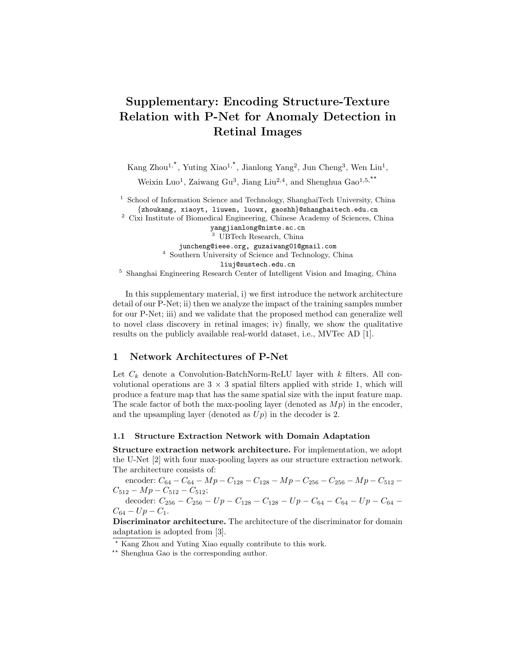# Supplementary: Encoding Structure-Texture Relation with P-Net for Anomaly Detection in Retinal Images

Kang Zhou<sup>1,\*</sup>, Yuting Xiao<sup>1,\*</sup>, Jianlong Yang<sup>2</sup>, Jun Cheng<sup>3</sup>, Wen Liu<sup>1</sup>, Weixin Luo<sup>1</sup>, Zaiwang Gu<sup>3</sup>, Jiang Liu<sup>2,4</sup>, and Shenghua Gao<sup>1,5,\*\*</sup>

<sup>1</sup> School of Information Science and Technology, ShanghaiTech University, China {zhoukang, xiaoyt, liuwen, luowx, gaoshh}@shanghaitech.edu.cn

<sup>2</sup> Cixi Institute of Biomedical Engineering, Chinese Academy of Sciences, China yangjianlong@nimte.ac.cn

<sup>3</sup> UBTech Research, China juncheng@ieee.org, guzaiwang01@gmail.com <sup>4</sup> Southern University of Science and Technology, China liuj@sustech.edu.cn <sup>5</sup> Shanghai Engineering Research Center of Intelligent Vision and Imaging, China

In this supplementary material, i) we first introduce the network architecture detail of our P-Net; ii) then we analyze the impact of the training samples number for our P-Net; iii) and we validate that the proposed method can generalize well to novel class discovery in retinal images; iv) finally, we show the qualitative results on the publicly available real-world dataset, i.e., MVTec AD [1].

# 1 Network Architectures of P-Net

Let  $C_k$  denote a Convolution-BatchNorm-ReLU layer with  $k$  filters. All convolutional operations are  $3 \times 3$  spatial filters applied with stride 1, which will produce a feature map that has the same spatial size with the input feature map. The scale factor of both the max-pooling layer (denoted as  $Mp$ ) in the encoder, and the upsampling layer (denoted as  $Up$ ) in the decoder is 2.

#### 1.1 Structure Extraction Network with Domain Adaptation

Structure extraction network architecture. For implementation, we adopt the U-Net [2] with four max-pooling layers as our structure extraction network. The architecture consists of:

encoder:  $C_{64} - C_{64} - Mp - C_{128} - C_{128} - Mp - C_{256} - C_{256} - Mp - C_{512} C_{512} - Mp - C_{512} - C_{512};$ 

decoder:  $C_{256} - C_{256} - Up - C_{128} - C_{128} - Up - C_{64} - C_{64} - Up - C_{64}$  $C_{64} - Up - C_1.$ 

Discriminator architecture. The architecture of the discriminator for domain adaptation is adopted from [3].

? Kang Zhou and Yuting Xiao equally contribute to this work.

<sup>\*\*</sup> Shenghua Gao is the corresponding author.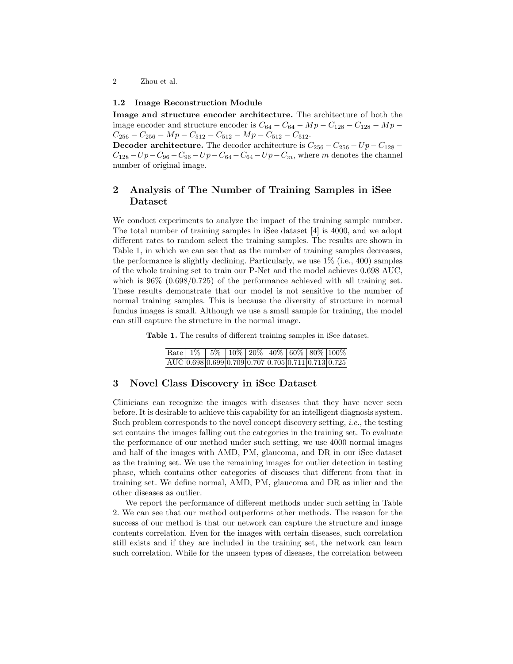2 Zhou et al.

#### 1.2 Image Reconstruction Module

Image and structure encoder architecture. The architecture of both the image encoder and structure encoder is  $C_{64} - C_{64} - Mp - C_{128} - C_{128} - Mp C_{256} - C_{256} - Mp - C_{512} - C_{512} - Mp - C_{512} - C_{512}.$ 

**Decoder architecture.** The decoder architecture is  $C_{256} - C_{256} - Up - C_{128} C_{128} - Up - C_{96} - C_{96} - Up - C_{64} - C_{64} - Up - C_m$ , where m denotes the channel number of original image.

# 2 Analysis of The Number of Training Samples in iSee Dataset

We conduct experiments to analyze the impact of the training sample number. The total number of training samples in iSee dataset [4] is 4000, and we adopt different rates to random select the training samples. The results are shown in Table 1, in which we can see that as the number of training samples decreases, the performance is slightly declining. Particularly, we use  $1\%$  (i.e., 400) samples of the whole training set to train our P-Net and the model achieves 0.698 AUC, which is  $96\%$   $(0.698/0.725)$  of the performance achieved with all training set. These results demonstrate that our model is not sensitive to the number of normal training samples. This is because the diversity of structure in normal fundus images is small. Although we use a small sample for training, the model can still capture the structure in the normal image.

Table 1. The results of different training samples in iSee dataset.

|  |  |  |  | Rate $1\%$ 5% $10\%$ 20% 40% 60% 80% 100%             |
|--|--|--|--|-------------------------------------------------------|
|  |  |  |  | $AUC$ 0.698 0.699 0.709 0.707 0.705 0.711 0.713 0.725 |

## 3 Novel Class Discovery in iSee Dataset

Clinicians can recognize the images with diseases that they have never seen before. It is desirable to achieve this capability for an intelligent diagnosis system. Such problem corresponds to the novel concept discovery setting, i.e., the testing set contains the images falling out the categories in the training set. To evaluate the performance of our method under such setting, we use 4000 normal images and half of the images with AMD, PM, glaucoma, and DR in our iSee dataset as the training set. We use the remaining images for outlier detection in testing phase, which contains other categories of diseases that different from that in training set. We define normal, AMD, PM, glaucoma and DR as inlier and the other diseases as outlier.

We report the performance of different methods under such setting in Table 2. We can see that our method outperforms other methods. The reason for the success of our method is that our network can capture the structure and image contents correlation. Even for the images with certain diseases, such correlation still exists and if they are included in the training set, the network can learn such correlation. While for the unseen types of diseases, the correlation between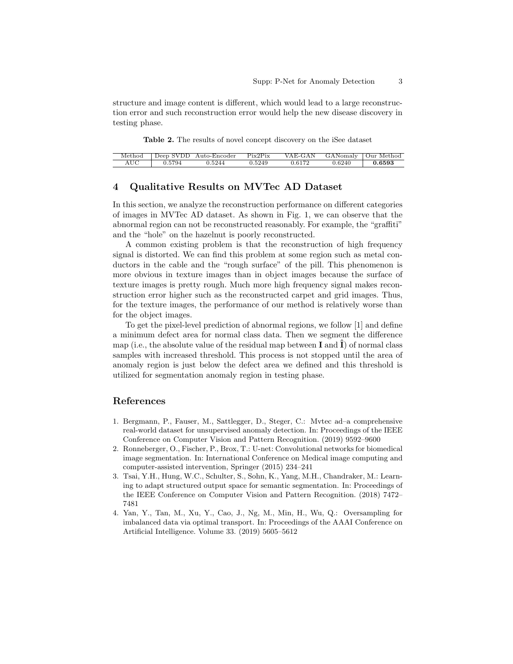structure and image content is different, which would lead to a large reconstruction error and such reconstruction error would help the new disease discovery in testing phase.

Table 2. The results of novel concept discovery on the iSee dataset

|     |         | Method Deep SVDD Auto-Encoder | Pix2Pix | VAE-GAN GANomaly Our Method |        |        |
|-----|---------|-------------------------------|---------|-----------------------------|--------|--------|
| AUC | 10.5794 | 0.5244                        | 0.5249  | 0.6172                      | 0.6240 | 0.6593 |

## 4 Qualitative Results on MVTec AD Dataset

In this section, we analyze the reconstruction performance on different categories of images in MVTec AD dataset. As shown in Fig. 1, we can observe that the abnormal region can not be reconstructed reasonably. For example, the "graffiti" and the "hole" on the hazelnut is poorly reconstructed.

A common existing problem is that the reconstruction of high frequency signal is distorted. We can find this problem at some region such as metal conductors in the cable and the "rough surface" of the pill. This phenomenon is more obvious in texture images than in object images because the surface of texture images is pretty rough. Much more high frequency signal makes reconstruction error higher such as the reconstructed carpet and grid images. Thus, for the texture images, the performance of our method is relatively worse than for the object images.

To get the pixel-level prediction of abnormal regions, we follow [1] and define a minimum defect area for normal class data. Then we segment the difference map (i.e., the absolute value of the residual map between **I** and  $\hat{\mathbf{I}}$ ) of normal class samples with increased threshold. This process is not stopped until the area of anomaly region is just below the defect area we defined and this threshold is utilized for segmentation anomaly region in testing phase.

### References

- 1. Bergmann, P., Fauser, M., Sattlegger, D., Steger, C.: Mvtec ad–a comprehensive real-world dataset for unsupervised anomaly detection. In: Proceedings of the IEEE Conference on Computer Vision and Pattern Recognition. (2019) 9592–9600
- 2. Ronneberger, O., Fischer, P., Brox, T.: U-net: Convolutional networks for biomedical image segmentation. In: International Conference on Medical image computing and computer-assisted intervention, Springer (2015) 234–241
- 3. Tsai, Y.H., Hung, W.C., Schulter, S., Sohn, K., Yang, M.H., Chandraker, M.: Learning to adapt structured output space for semantic segmentation. In: Proceedings of the IEEE Conference on Computer Vision and Pattern Recognition. (2018) 7472– 7481
- 4. Yan, Y., Tan, M., Xu, Y., Cao, J., Ng, M., Min, H., Wu, Q.: Oversampling for imbalanced data via optimal transport. In: Proceedings of the AAAI Conference on Artificial Intelligence. Volume 33. (2019) 5605–5612